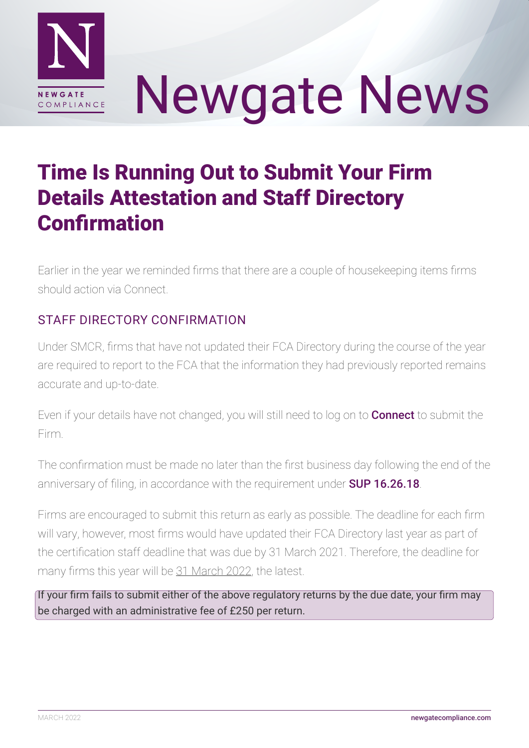

# Newgate News

## Time Is Running Out to Submit Your Firm Details Attestation and Staff Directory Confirmation

Earlier in the year we reminded firms that there are a couple of housekeeping items firms should action via Connect.

### STAFF DIRECTORY CONFIRMATION

Under SMCR, firms that have not updated their FCA Directory during the course of the year are required to report to the FCA that the information they had previously reported remains accurate and up-to-date.

Even if your details have not changed, you will still need to log on to **[Connect](https://connect.fca.org.uk/firms/aupo_sitelogin)** to submit the Firm.

The confirmation must be made no later than the first business day following the end of the anniversary of filing, in accordance with the requirement under **[SUP 16.26.18](https://www.handbook.fca.org.uk/handbook/SUP/16/26.html)**.

Firms are encouraged to submit this return as early as possible. The deadline for each firm will vary, however, most firms would have updated their FCA Directory last year as part of the certification staff deadline that was due by 31 March 2021. Therefore, the deadline for many firms this year will be 31 March 2022, the latest.

If your firm fails to submit either of the above regulatory returns by the due date, your firm may be charged with an administrative fee of £250 per return.